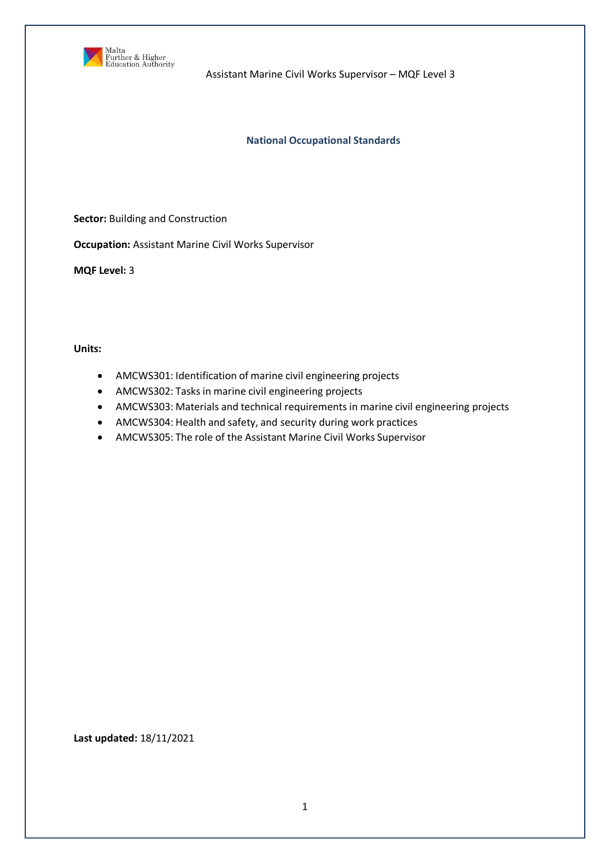

## **National Occupational Standards**

**Sector:** Building and Construction

**Occupation:** Assistant Marine Civil Works Supervisor

**MQF Level:** 3

**Units:** 

- AMCWS301: Identification of marine civil engineering projects
- AMCWS302: Tasks in marine civil engineering projects
- AMCWS303: Materials and technical requirements in marine civil engineering projects
- AMCWS304: Health and safety, and security during work practices
- AMCWS305: The role of the Assistant Marine Civil Works Supervisor

**Last updated:** 18/11/2021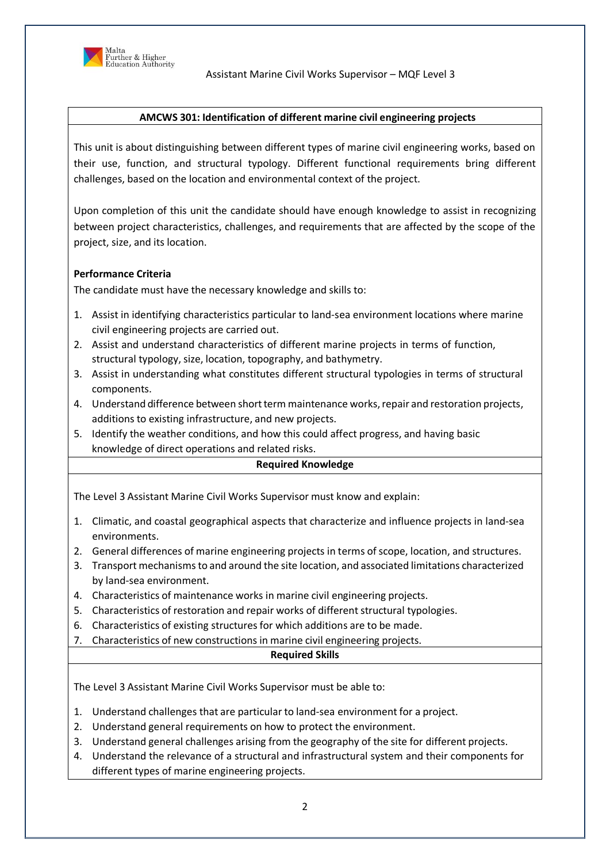

# **AMCWS 301: Identification of different marine civil engineering projects**

This unit is about distinguishing between different types of marine civil engineering works, based on their use, function, and structural typology. Different functional requirements bring different challenges, based on the location and environmental context of the project.

Upon completion of this unit the candidate should have enough knowledge to assist in recognizing between project characteristics, challenges, and requirements that are affected by the scope of the project, size, and its location.

## **Performance Criteria**

The candidate must have the necessary knowledge and skills to:

- 1. Assist in identifying characteristics particular to land-sea environment locations where marine civil engineering projects are carried out.
- 2. Assist and understand characteristics of different marine projects in terms of function, structural typology, size, location, topography, and bathymetry.
- 3. Assist in understanding what constitutes different structural typologies in terms of structural components.
- 4. Understand difference between short term maintenance works, repair and restoration projects, additions to existing infrastructure, and new projects.
- 5. Identify the weather conditions, and how this could affect progress, and having basic knowledge of direct operations and related risks.

## **Required Knowledge**

The Level 3 Assistant Marine Civil Works Supervisor must know and explain:

- 1. Climatic, and coastal geographical aspects that characterize and influence projects in land-sea environments.
- 2. General differences of marine engineering projects in terms of scope, location, and structures.
- 3. Transport mechanismsto and around the site location, and associated limitations characterized by land-sea environment.
- 4. Characteristics of maintenance works in marine civil engineering projects.
- 5. Characteristics of restoration and repair works of different structural typologies.
- 6. Characteristics of existing structures for which additions are to be made.
- 7. Characteristics of new constructions in marine civil engineering projects.

# **Required Skills**

The Level 3 Assistant Marine Civil Works Supervisor must be able to:

1. Understand challenges that are particular to land-sea environment for a project.

- 2. Understand general requirements on how to protect the environment.
- 3. Understand general challenges arising from the geography of the site for different projects.
- 4. Understand the relevance of a structural and infrastructural system and their components for different types of marine engineering projects.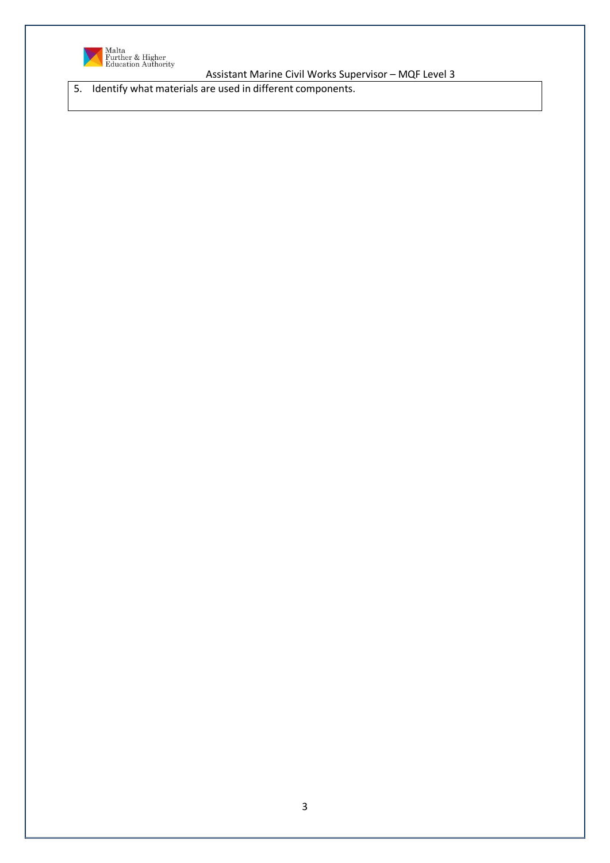

5. Identify what materials are used in different components.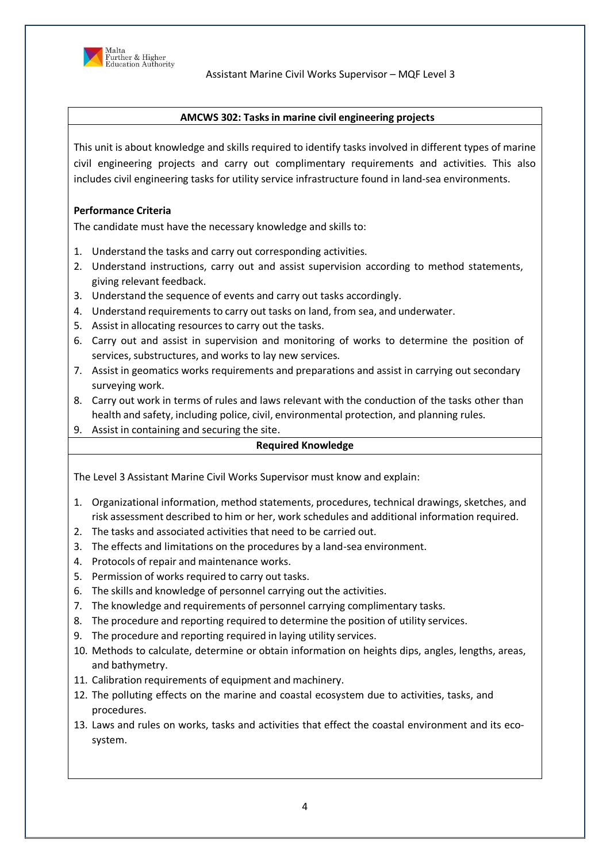

# **AMCWS 302: Tasksin marine civil engineering projects**

This unit is about knowledge and skills required to identify tasks involved in different types of marine civil engineering projects and carry out complimentary requirements and activities. This also includes civil engineering tasks for utility service infrastructure found in land-sea environments.

## **Performance Criteria**

The candidate must have the necessary knowledge and skills to:

- 1. Understand the tasks and carry out corresponding activities.
- 2. Understand instructions, carry out and assist supervision according to method statements, giving relevant feedback.
- 3. Understand the sequence of events and carry out tasks accordingly.
- 4. Understand requirements to carry out tasks on land, from sea, and underwater.
- 5. Assist in allocating resources to carry out the tasks.
- 6. Carry out and assist in supervision and monitoring of works to determine the position of services, substructures, and works to lay new services.
- 7. Assist in geomatics works requirements and preparations and assist in carrying out secondary surveying work.
- 8. Carry out work in terms of rules and laws relevant with the conduction of the tasks other than health and safety, including police, civil, environmental protection, and planning rules.
- 9. Assist in containing and securing the site.

## **Required Knowledge**

The Level 3 Assistant Marine Civil Works Supervisor must know and explain:

- 1. Organizational information, method statements, procedures, technical drawings, sketches, and risk assessment described to him or her, work schedules and additional information required.
- 2. The tasks and associated activities that need to be carried out.
- 3. The effects and limitations on the procedures by a land-sea environment.
- 4. Protocols of repair and maintenance works.
- 5. Permission of works required to carry out tasks.
- 6. The skills and knowledge of personnel carrying out the activities.
- 7. The knowledge and requirements of personnel carrying complimentary tasks.
- 8. The procedure and reporting required to determine the position of utility services.
- 9. The procedure and reporting required in laying utility services.
- 10. Methods to calculate, determine or obtain information on heights dips, angles, lengths, areas, and bathymetry.
- 11. Calibration requirements of equipment and machinery.
- 12. The polluting effects on the marine and coastal ecosystem due to activities, tasks, and procedures.
- 13. Laws and rules on works, tasks and activities that effect the coastal environment and its ecosystem.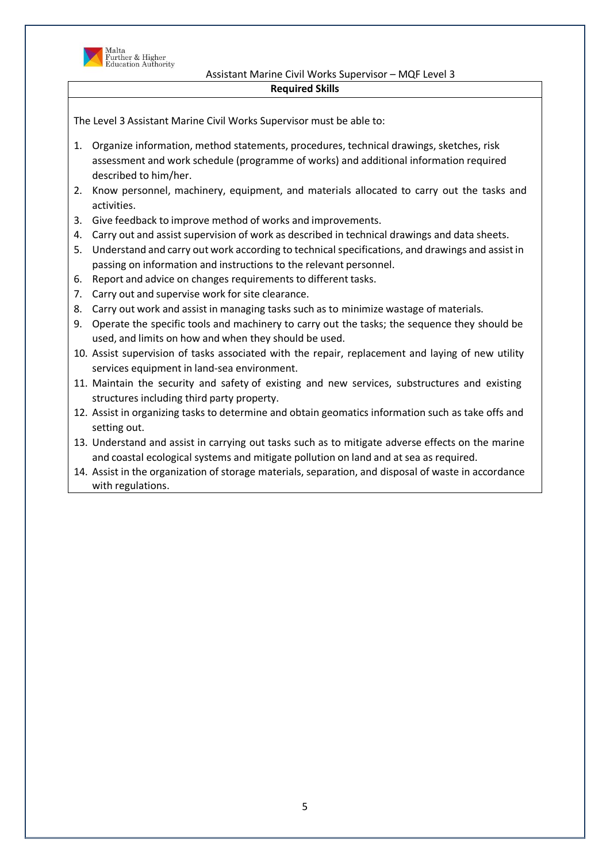

## Assistant Marine Civil Works Supervisor – MQF Level 3 **Required Skills**

- 1. Organize information, method statements, procedures, technical drawings, sketches, risk assessment and work schedule (programme of works) and additional information required described to him/her.
- 2. Know personnel, machinery, equipment, and materials allocated to carry out the tasks and activities.
- 3. Give feedback to improve method of works and improvements.
- 4. Carry out and assist supervision of work as described in technical drawings and data sheets.
- 5. Understand and carry out work according to technical specifications, and drawings and assistin passing on information and instructions to the relevant personnel.
- 6. Report and advice on changes requirements to different tasks.
- 7. Carry out and supervise work for site clearance.
- 8. Carry out work and assist in managing tasks such as to minimize wastage of materials.
- 9. Operate the specific tools and machinery to carry out the tasks; the sequence they should be used, and limits on how and when they should be used.
- 10. Assist supervision of tasks associated with the repair, replacement and laying of new utility services equipment in land-sea environment.
- 11. Maintain the security and safety of existing and new services, substructures and existing structures including third party property.
- 12. Assist in organizing tasks to determine and obtain geomatics information such as take offs and setting out.
- 13. Understand and assist in carrying out tasks such as to mitigate adverse effects on the marine and coastal ecological systems and mitigate pollution on land and at sea as required.
- 14. Assist in the organization of storage materials, separation, and disposal of waste in accordance with regulations.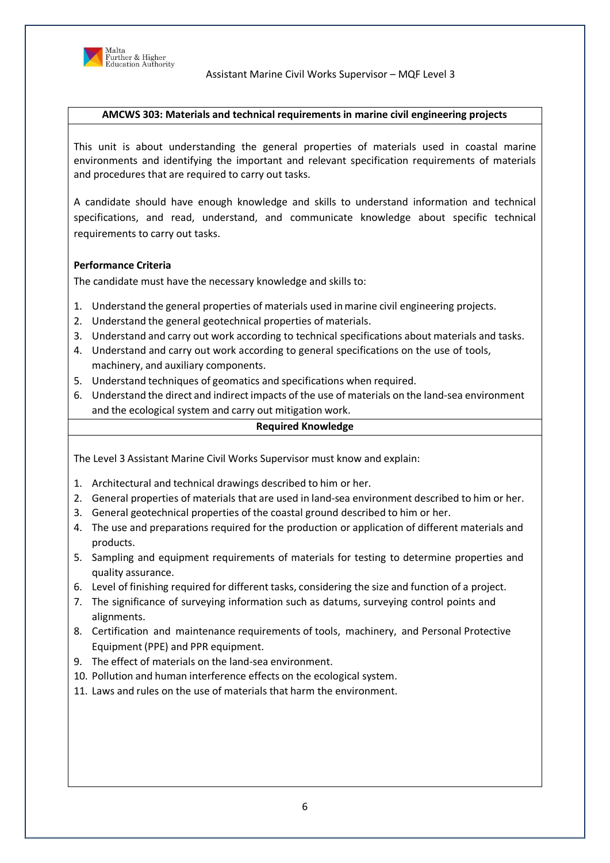

## **AMCWS 303: Materials and technical requirements in marine civil engineering projects**

This unit is about understanding the general properties of materials used in coastal marine environments and identifying the important and relevant specification requirements of materials and procedures that are required to carry out tasks.

A candidate should have enough knowledge and skills to understand information and technical specifications, and read, understand, and communicate knowledge about specific technical requirements to carry out tasks.

## **Performance Criteria**

The candidate must have the necessary knowledge and skills to:

- 1. Understand the general properties of materials used inmarine civil engineering projects.
- 2. Understand the general geotechnical properties of materials.
- 3. Understand and carry out work according to technical specifications about materials and tasks.
- 4. Understand and carry out work according to general specifications on the use of tools, machinery, and auxiliary components.
- 5. Understand techniques of geomatics and specifications when required.
- 6. Understand the direct and indirect impacts of the use of materials on the land-sea environment and the ecological system and carry out mitigation work.

#### **Required Knowledge**

The Level 3 Assistant Marine Civil Works Supervisor must know and explain:

- 1. Architectural and technical drawings described to him or her.
- 2. General properties of materials that are used in land-sea environment described to him or her.
- 3. General geotechnical properties of the coastal ground described to him or her.
- 4. The use and preparations required for the production or application of different materials and products.
- 5. Sampling and equipment requirements of materials for testing to determine properties and quality assurance.
- 6. Level of finishing required for different tasks, considering the size and function of a project.
- 7. The significance of surveying information such as datums, surveying control points and alignments.
- 8. Certification and maintenance requirements of tools, machinery, and Personal Protective Equipment (PPE) and PPR equipment.
- 9. The effect of materials on the land-sea environment.
- 10. Pollution and human interference effects on the ecological system.
- 11. Laws and rules on the use of materials that harm the environment.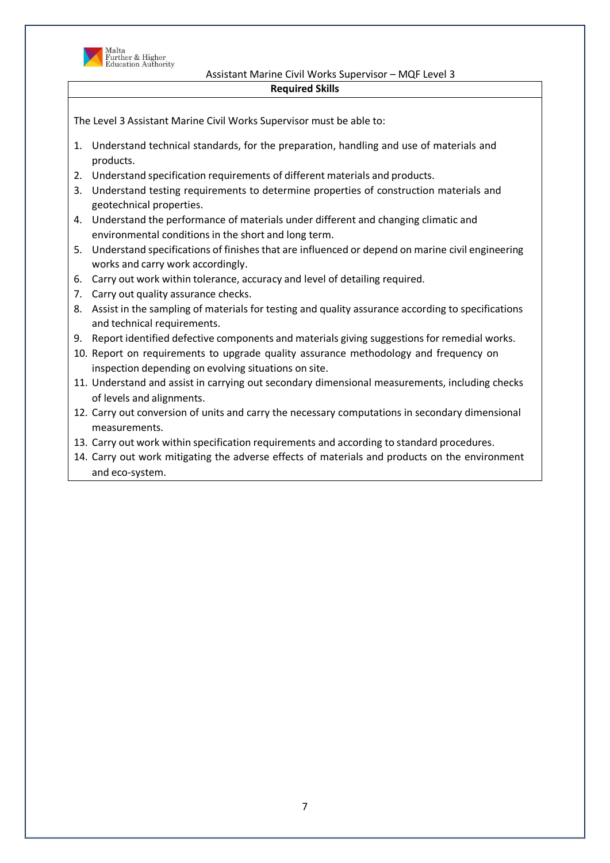

## Assistant Marine Civil Works Supervisor – MQF Level 3 **Required Skills**

- 1. Understand technical standards, for the preparation, handling and use of materials and products.
- 2. Understand specification requirements of different materials and products.
- 3. Understand testing requirements to determine properties of construction materials and geotechnical properties.
- 4. Understand the performance of materials under different and changing climatic and environmental conditions in the short and long term.
- 5. Understand specifications of finishes that are influenced or depend on marine civil engineering works and carry work accordingly.
- 6. Carry out work within tolerance, accuracy and level of detailing required.
- 7. Carry out quality assurance checks.
- 8. Assist in the sampling of materials for testing and quality assurance according to specifications and technical requirements.
- 9. Report identified defective components and materials giving suggestions for remedial works.
- 10. Report on requirements to upgrade quality assurance methodology and frequency on inspection depending on evolving situations on site.
- 11. Understand and assist in carrying out secondary dimensional measurements, including checks of levels and alignments.
- 12. Carry out conversion of units and carry the necessary computations in secondary dimensional measurements.
- 13. Carry out work within specification requirements and according to standard procedures.
- 14. Carry out work mitigating the adverse effects of materials and products on the environment and eco-system.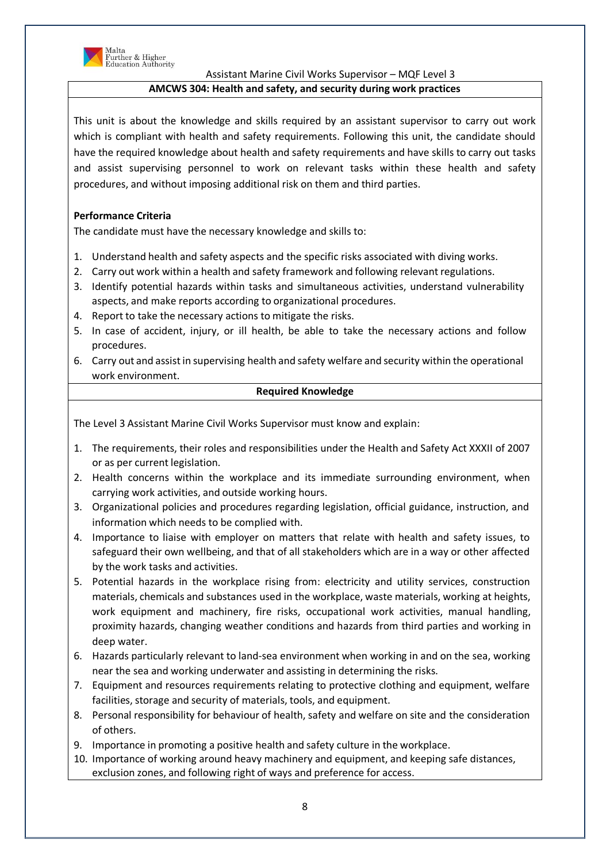

Malta<br>Further & Higher<br>Education Authority

# Assistant Marine Civil Works Supervisor – MQF Level 3

# **AMCWS 304: Health and safety, and security during work practices**

This unit is about the knowledge and skills required by an assistant supervisor to carry out work which is compliant with health and safety requirements. Following this unit, the candidate should have the required knowledge about health and safety requirements and have skills to carry out tasks and assist supervising personnel to work on relevant tasks within these health and safety procedures, and without imposing additional risk on them and third parties.

# **Performance Criteria**

The candidate must have the necessary knowledge and skills to:

- 1. Understand health and safety aspects and the specific risks associated with diving works.
- 2. Carry out work within a health and safety framework and following relevant regulations.
- 3. Identify potential hazards within tasks and simultaneous activities, understand vulnerability aspects, and make reports according to organizational procedures.
- 4. Report to take the necessary actions to mitigate the risks.
- 5. In case of accident, injury, or ill health, be able to take the necessary actions and follow procedures.
- 6. Carry out and assist in supervising health and safety welfare and security within the operational work environment.

## **Required Knowledge**

The Level 3 Assistant Marine Civil Works Supervisor must know and explain:

- 1. The requirements, their roles and responsibilities under the Health and Safety Act XXXII of 2007 or as per current legislation.
- 2. Health concerns within the workplace and its immediate surrounding environment, when carrying work activities, and outside working hours.
- 3. Organizational policies and procedures regarding legislation, official guidance, instruction, and information which needs to be complied with.
- 4. Importance to liaise with employer on matters that relate with health and safety issues, to safeguard their own wellbeing, and that of all stakeholders which are in a way or other affected by the work tasks and activities.
- 5. Potential hazards in the workplace rising from: electricity and utility services, construction materials, chemicals and substances used in the workplace, waste materials, working at heights, work equipment and machinery, fire risks, occupational work activities, manual handling, proximity hazards, changing weather conditions and hazards from third parties and working in deep water.
- 6. Hazards particularly relevant to land-sea environment when working in and on the sea, working near the sea and working underwater and assisting in determining the risks.
- 7. Equipment and resources requirements relating to protective clothing and equipment, welfare facilities, storage and security of materials, tools, and equipment.
- 8. Personal responsibility for behaviour of health, safety and welfare on site and the consideration of others.
- 9. Importance in promoting a positive health and safety culture in the workplace.
- 10. Importance of working around heavy machinery and equipment, and keeping safe distances, exclusion zones, and following right of ways and preference for access.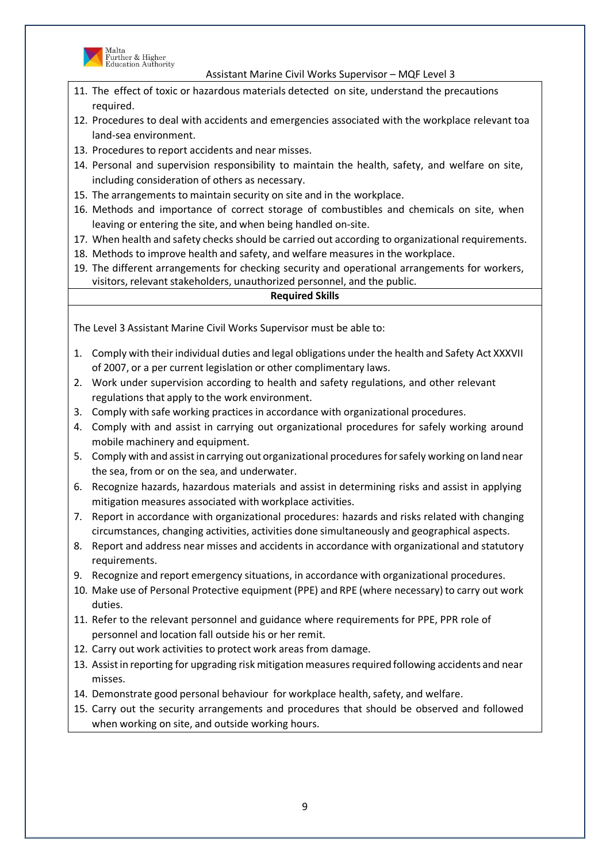

Malta<br>Further & Higher<br>Education Authority

Assistant Marine Civil Works Supervisor – MQF Level 3

- 11. The effect of toxic or hazardous materials detected on site, understand the precautions required.
- 12. Procedures to deal with accidents and emergencies associated with the workplace relevant toa land-sea environment.
- 13. Procedures to report accidents and near misses.
- 14. Personal and supervision responsibility to maintain the health, safety, and welfare on site, including consideration of others as necessary.
- 15. The arrangements to maintain security on site and in the workplace.
- 16. Methods and importance of correct storage of combustibles and chemicals on site, when leaving or entering the site, and when being handled on-site.
- 17. When health and safety checks should be carried out according to organizational requirements.
- 18. Methods to improve health and safety, and welfare measures in the workplace.
- 19. The different arrangements for checking security and operational arrangements for workers, visitors, relevant stakeholders, unauthorized personnel, and the public.

# **Required Skills**

- 1. Comply with their individual duties and legal obligations under the health and Safety Act XXXVII of 2007, or a per current legislation or other complimentary laws.
- 2. Work under supervision according to health and safety regulations, and other relevant regulations that apply to the work environment.
- 3. Comply with safe working practices in accordance with organizational procedures.
- 4. Comply with and assist in carrying out organizational procedures for safely working around mobile machinery and equipment.
- 5. Comply with and assistin carrying out organizational proceduresforsafely working on land near the sea, from or on the sea, and underwater.
- 6. Recognize hazards, hazardous materials and assist in determining risks and assist in applying mitigation measures associated with workplace activities.
- 7. Report in accordance with organizational procedures: hazards and risks related with changing circumstances, changing activities, activities done simultaneously and geographical aspects.
- 8. Report and address near misses and accidents in accordance with organizational and statutory requirements.
- 9. Recognize and report emergency situations, in accordance with organizational procedures.
- 10. Make use of Personal Protective equipment (PPE) and RPE (where necessary) to carry out work duties.
- 11. Refer to the relevant personnel and guidance where requirements for PPE, PPR role of personnel and location fall outside his or her remit.
- 12. Carry out work activities to protect work areas from damage.
- 13. Assistin reporting for upgrading risk mitigationmeasuresrequired following accidents and near misses.
- 14. Demonstrate good personal behaviour for workplace health, safety, and welfare.
- 15. Carry out the security arrangements and procedures that should be observed and followed when working on site, and outside working hours.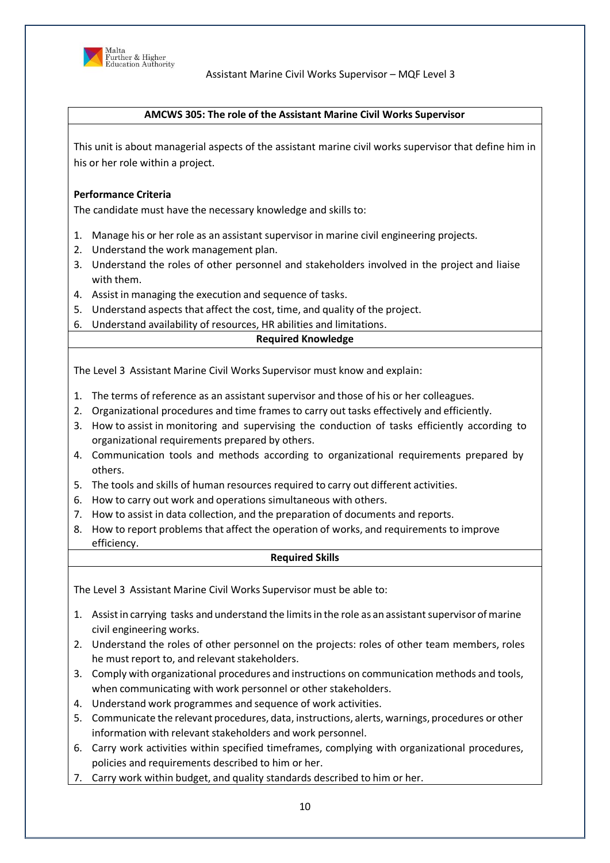

# **AMCWS 305: The role of the Assistant Marine Civil Works Supervisor**

This unit is about managerial aspects of the assistant marine civil works supervisor that define him in his or her role within a project.

# **Performance Criteria**

The candidate must have the necessary knowledge and skills to:

- 1. Manage his or her role as an assistant supervisor in marine civil engineering projects.
- 2. Understand the work management plan.
- 3. Understand the roles of other personnel and stakeholders involved in the project and liaise with them.
- 4. Assist in managing the execution and sequence of tasks.
- 5. Understand aspects that affect the cost, time, and quality of the project.
- 6. Understand availability of resources, HR abilities and limitations.

## **Required Knowledge**

The Level 3 Assistant Marine Civil Works Supervisor must know and explain:

- 1. The terms of reference as an assistant supervisor and those of his or her colleagues.
- 2. Organizational procedures and time frames to carry out tasks effectively and efficiently.
- 3. How to assist in monitoring and supervising the conduction of tasks efficiently according to organizational requirements prepared by others.
- 4. Communication tools and methods according to organizational requirements prepared by others.
- 5. The tools and skills of human resources required to carry out different activities.
- 6. How to carry out work and operations simultaneous with others.
- 7. How to assist in data collection, and the preparation of documents and reports.
- 8. How to report problems that affect the operation of works, and requirements to improve efficiency.

#### **Required Skills**

- 1. Assist in carrying tasks and understand the limits in the role as an assistant supervisor of marine civil engineering works.
- 2. Understand the roles of other personnel on the projects: roles of other team members, roles he must report to, and relevant stakeholders.
- 3. Comply with organizational procedures and instructions on communication methods and tools, when communicating with work personnel or other stakeholders.
- 4. Understand work programmes and sequence of work activities.
- 5. Communicate the relevant procedures, data, instructions, alerts, warnings, procedures or other information with relevant stakeholders and work personnel.
- 6. Carry work activities within specified timeframes, complying with organizational procedures, policies and requirements described to him or her.
- 7. Carry work within budget, and quality standards described to him or her.